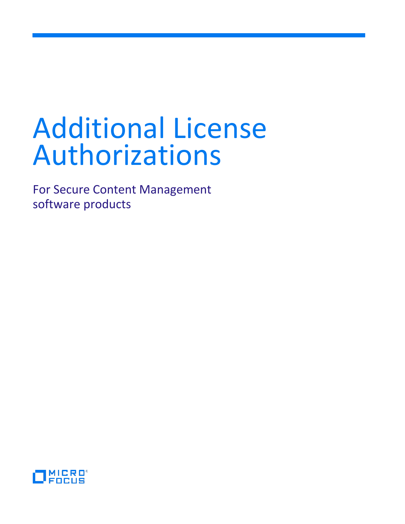# Additional License Authorizations

For Secure Content Management software products

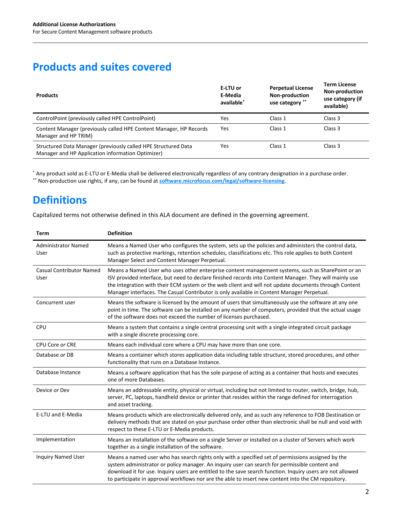## **Products and suites covered**

| <b>Products</b>                                                                                                     | E-LTU or<br>E-Media<br>available <sup>*</sup> | <b>Perpetual License</b><br>Non-production<br>use category ** | <b>Term License</b><br><b>Non-production</b><br>use category (if<br>available) |
|---------------------------------------------------------------------------------------------------------------------|-----------------------------------------------|---------------------------------------------------------------|--------------------------------------------------------------------------------|
| ControlPoint (previously called HPE ControlPoint)                                                                   | Yes                                           | Class 1                                                       | Class 3                                                                        |
| Content Manager (previously called HPE Content Manager, HP Records<br>Manager and HP TRIM)                          | Yes                                           | Class 1                                                       | Class 3                                                                        |
| Structured Data Manager (previously called HPE Structured Data<br>Manager and HP Application information Optimizer) | Yes                                           | Class 1                                                       | Class 3                                                                        |

\* Any product sold as E-LTU or E-Media shall be delivered electronically regardless of any contrary designation in a purchase order. \*\* Non-production use rights, if any, can be found at **[software.microfocus.com/legal/software-licensing](https://software.microfocus.com/legal/software-licensing)**.

# **Definitions**

Capitalized terms not otherwise defined in this ALA document are defined in the governing agreement.

| <b>Term</b>                             | <b>Definition</b>                                                                                                                                                                                                                                                                                                                                                                                                        |
|-----------------------------------------|--------------------------------------------------------------------------------------------------------------------------------------------------------------------------------------------------------------------------------------------------------------------------------------------------------------------------------------------------------------------------------------------------------------------------|
| <b>Administrator Named</b><br>User      | Means a Named User who configures the system, sets up the policies and administers the control data,<br>such as protective markings, retention schedules, classifications etc. This role applies to both Content<br>Manager Select and Content Manager Perpetual.                                                                                                                                                        |
| <b>Casual Contributor Named</b><br>User | Means a Named User who uses other enterprise content management systems, such as SharePoint or an<br>ISV provided interface, but need to declare finished records into Content Manager. They will mainly use<br>the integration with their ECM system or the web client and will not update documents through Content<br>Manager interfaces. The Casual Contributor is only available in Content Manager Perpetual.      |
| Concurrent user                         | Means the software is licensed by the amount of users that simultaneously use the software at any one<br>point in time. The software can be installed on any number of computers, provided that the actual usage<br>of the software does not exceed the number of licenses purchased.                                                                                                                                    |
| CPU                                     | Means a system that contains a single central processing unit with a single integrated circuit package<br>with a single discrete processing core.                                                                                                                                                                                                                                                                        |
| CPU Core or CRE                         | Means each individual core where a CPU may have more than one core.                                                                                                                                                                                                                                                                                                                                                      |
| Database or DB                          | Means a container which stores application data including table structure, stored procedures, and other<br>functionality that runs on a Database Instance.                                                                                                                                                                                                                                                               |
| Database Instance                       | Means a software application that has the sole purpose of acting as a container that hosts and executes<br>one of more Databases.                                                                                                                                                                                                                                                                                        |
| Device or Dev                           | Means an addressable entity, physical or virtual, including but not limited to router, switch, bridge, hub,<br>server, PC, laptops, handheld device or printer that resides within the range defined for interrogation<br>and asset tracking.                                                                                                                                                                            |
| <b>E-LTU and E-Media</b>                | Means products which are electronically delivered only, and as such any reference to FOB Destination or<br>delivery methods that are stated on your purchase order other than electronic shall be null and void with<br>respect to these E-LTU or E-Media products.                                                                                                                                                      |
| Implementation                          | Means an installation of the software on a single Server or installed on a cluster of Servers which work<br>together as a single installation of the software.                                                                                                                                                                                                                                                           |
| <b>Inquiry Named User</b>               | Means a named user who has search rights only with a specified set of permissions assigned by the<br>system administrator or policy manager. An inquiry user can search for permissible content and<br>download it for use. Inquiry users are entitled to the save search function. Inquiry users are not allowed<br>to participate in approval workflows nor are the able to insert new content into the CM repository. |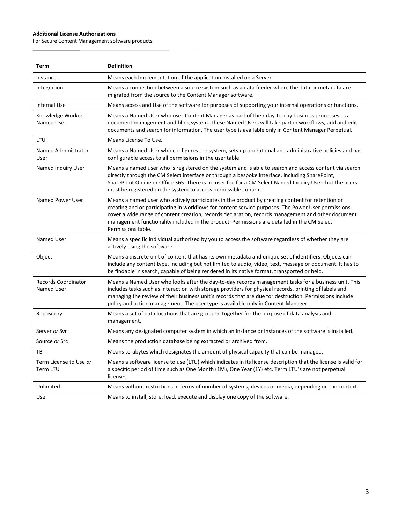#### **Additional License Authorizations**

 $\overline{a}$ 

For Secure Content Management software products

| Term                                     | <b>Definition</b>                                                                                                                                                                                                                                                                                                                                                                                                                  |
|------------------------------------------|------------------------------------------------------------------------------------------------------------------------------------------------------------------------------------------------------------------------------------------------------------------------------------------------------------------------------------------------------------------------------------------------------------------------------------|
| Instance                                 | Means each Implementation of the application installed on a Server.                                                                                                                                                                                                                                                                                                                                                                |
| Integration                              | Means a connection between a source system such as a data feeder where the data or metadata are<br>migrated from the source to the Content Manager software.                                                                                                                                                                                                                                                                       |
| <b>Internal Use</b>                      | Means access and Use of the software for purposes of supporting your internal operations or functions.                                                                                                                                                                                                                                                                                                                             |
| Knowledge Worker<br>Named User           | Means a Named User who uses Content Manager as part of their day-to-day business processes as a<br>document management and filing system. These Named Users will take part in workflows, add and edit<br>documents and search for information. The user type is available only in Content Manager Perpetual.                                                                                                                       |
| LTU                                      | Means License To Use.                                                                                                                                                                                                                                                                                                                                                                                                              |
| Named Administrator<br>User              | Means a Named User who configures the system, sets up operational and administrative policies and has<br>configurable access to all permissions in the user table.                                                                                                                                                                                                                                                                 |
| Named Inquiry User                       | Means a named user who is registered on the system and is able to search and access content via search<br>directly through the CM Select interface or through a bespoke interface, including SharePoint,<br>SharePoint Online or Office 365. There is no user fee for a CM Select Named Inquiry User, but the users<br>must be registered on the system to access permissible content.                                             |
| Named Power User                         | Means a named user who actively participates in the product by creating content for retention or<br>creating and or participating in workflows for content service purposes. The Power User permissions<br>cover a wide range of content creation, records declaration, records management and other document<br>management functionality included in the product. Permissions are detailed in the CM Select<br>Permissions table. |
| Named User                               | Means a specific individual authorized by you to access the software regardless of whether they are<br>actively using the software.                                                                                                                                                                                                                                                                                                |
| Object                                   | Means a discrete unit of content that has its own metadata and unique set of identifiers. Objects can<br>include any content type, including but not limited to audio, video, text, message or document. It has to<br>be findable in search, capable of being rendered in its native format, transported or held.                                                                                                                  |
| <b>Records Coordinator</b><br>Named User | Means a Named User who looks after the day-to-day records management tasks for a business unit. This<br>includes tasks such as interaction with storage providers for physical records, printing of labels and<br>managing the review of their business unit's records that are due for destruction. Permissions include<br>policy and action management. The user type is available only in Content Manager.                      |
| Repository                               | Means a set of data locations that are grouped together for the purpose of data analysis and<br>management.                                                                                                                                                                                                                                                                                                                        |
| Server or Svr                            | Means any designated computer system in which an Instance or Instances of the software is installed.                                                                                                                                                                                                                                                                                                                               |
| Source or Src                            | Means the production database being extracted or archived from.                                                                                                                                                                                                                                                                                                                                                                    |
| тв                                       | Means terabytes which designates the amount of physical capacity that can be managed.                                                                                                                                                                                                                                                                                                                                              |
| Term License to Use or<br>Term LTU       | Means a software license to use (LTU) which indicates in its license description that the license is valid for<br>a specific period of time such as One Month (1M), One Year (1Y) etc. Term LTU's are not perpetual<br>licenses.                                                                                                                                                                                                   |
| Unlimited                                | Means without restrictions in terms of number of systems, devices or media, depending on the context.                                                                                                                                                                                                                                                                                                                              |
| Use                                      | Means to install, store, load, execute and display one copy of the software.                                                                                                                                                                                                                                                                                                                                                       |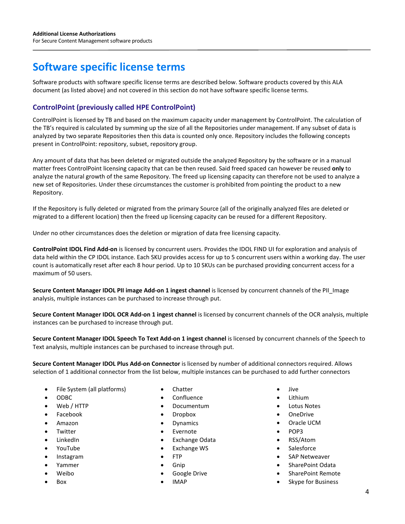## **Software specific license terms**

Software products with software specific license terms are described below. Software products covered by this ALA document (as listed above) and not covered in this section do not have software specific license terms.

## **ControlPoint (previously called HPE ControlPoint)**

ControlPoint is licensed by TB and based on the maximum capacity under management by ControlPoint. The calculation of the TB's required is calculated by summing up the size of all the Repositories under management. If any subset of data is analyzed by two separate Repositories then this data is counted only once. Repository includes the following concepts present in ControlPoint: repository, subset, repository group.

Any amount of data that has been deleted or migrated outside the analyzed Repository by the software or in a manual matter frees ControlPoint licensing capacity that can be then reused. Said freed spaced can however be reused **only** to analyze the natural growth of the same Repository. The freed up licensing capacity can therefore not be used to analyze a new set of Repositories. Under these circumstances the customer is prohibited from pointing the product to a new Repository.

If the Repository is fully deleted or migrated from the primary Source (all of the originally analyzed files are deleted or migrated to a different location) then the freed up licensing capacity can be reused for a different Repository.

Under no other circumstances does the deletion or migration of data free licensing capacity.

**ControlPoint IDOL Find Add-on** is licensed by concurrent users. Provides the IDOL FIND UI for exploration and analysis of data held within the CP IDOL instance. Each SKU provides access for up to 5 concurrent users within a working day. The user count is automatically reset after each 8 hour period. Up to 10 SKUs can be purchased providing concurrent access for a maximum of 50 users.

**Secure Content Manager IDOL PII image Add-on 1 ingest channel** is licensed by concurrent channels of the PII\_Image analysis, multiple instances can be purchased to increase through put.

**Secure Content Manager IDOL OCR Add-on 1 ingest channel** is licensed by concurrent channels of the OCR analysis, multiple instances can be purchased to increase through put.

**Secure Content Manager IDOL Speech To Text Add-on 1 ingest channel** is licensed by concurrent channels of the Speech to Text analysis, multiple instances can be purchased to increase through put.

**Secure Content Manager IDOL Plus Add-on Connector** is licensed by number of additional connectors required. Allows selection of 1 additional connector from the list below, multiple instances can be purchased to add further connectors

- File System (all platforms)
- ODBC
- Web / HTTP
- Facebook
- Amazon
- **Twitter**
- LinkedIn
- YouTube
- Instagram
- Yammer
- Weibo
- Box
- Chatter
- Confluence
- Documentum
- Dropbox
- Dynamics
- **Evernote**
- Exchange Odata
- Exchange WS
- FTP
- Gnip
- Google Drive
- IMAP
- Jive
- Lithium
- Lotus Notes
- OneDrive
- Oracle UCM
- POP3
- RSS/Atom
- Salesforce
- SAP Netweaver
- SharePoint Odata
- SharePoint Remote
- Skype for Business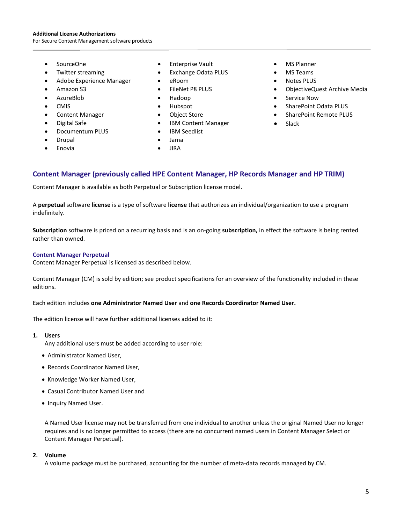#### **Additional License Authorizations**

For Secure Content Management software products

- SourceOne
- Twitter streaming
- Adobe Experience Manager
- Amazon S3
- AzureBlob
- CMIS
- Content Manager
- Digital Safe
- Documentum PLUS
- Drupal
- **Enovia**
- Enterprise Vault
- Exchange Odata PLUS
- eRoom
- FileNet P8 PLUS
- Hadoop
- Hubspot
- Object Store
- IBM Content Manager
- IBM Seedlist

- Jama
- JIRA
- MS Planner
- MS Teams
- Notes PLUS
- ObjectiveQuest Archive Media
- Service Now
- SharePoint Odata PLUS
- SharePoint Remote PLUS
- **Slack**

## **Content Manager (previously called HPE Content Manager, HP Records Manager and HP TRIM)**

Content Manager is available as both Perpetual or Subscription license model.

A **perpetual** software **license** is a type of software **license** that authorizes an individual/organization to use a program indefinitely.

**Subscription** software is priced on a recurring basis and is an on-going **subscription,** in effect the software is being rented rather than owned.

#### **Content Manager Perpetual**

Content Manager Perpetual is licensed as described below.

Content Manager (CM) is sold by edition; see product specifications for an overview of the functionality included in these editions.

Each edition includes **one Administrator Named User** and **one Records Coordinator Named User.**

The edition license will have further additional licenses added to it:

#### **1. Users**

Any additional users must be added according to user role:

- Administrator Named User,
- Records Coordinator Named User,
- Knowledge Worker Named User,
- Casual Contributor Named User and
- Inquiry Named User.

A Named User license may not be transferred from one individual to another unless the original Named User no longer requires and is no longer permitted to access (there are no concurrent named users in Content Manager Select or Content Manager Perpetual).

#### **2. Volume**

A volume package must be purchased, accounting for the number of meta-data records managed by CM.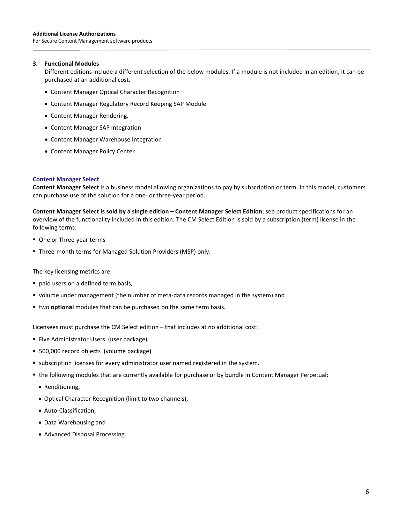#### **3. Functional Modules**

Different editions include a different selection of the below modules. If a module is not included in an edition, it can be purchased at an additional cost.

- Content Manager Optical Character Recognition
- Content Manager Regulatory Record Keeping SAP Module
- Content Manager Rendering.
- Content Manager SAP Integration
- Content Manager Warehouse Integration
- Content Manager Policy Center

#### **Content Manager Select**

**Content Manager Select** is a business model allowing organizations to pay by subscription or term. In this model, customers can purchase use of the solution for a one- or three-year period.

**Content Manager Select is sold by a single edition – Content Manager Select Edition**; see product specifications for an overview of the functionality included in this edition. The CM Select Edition is sold by a subscription (term) license in the following terms.

- One or Three-year terms
- Three-month terms for Managed Solution Providers (MSP) only.

The key licensing metrics are

- paid users on a defined term basis,
- volume under management (the number of meta-data records managed in the system) and
- two **optional** modules that can be purchased on the same term basis.

Licensees must purchase the CM Select edition – that includes at no additional cost:

- **Five Administrator Users (user package)**
- 500,000 record objects (volume package)
- **subscription licenses for every administrator user named registered in the system.**
- the following modules that are currently available for purchase or by bundle in Content Manager Perpetual:
	- Renditioning,
	- Optical Character Recognition (limit to two channels),
	- Auto-Classification,
	- Data Warehousing and
	- Advanced Disposal Processing.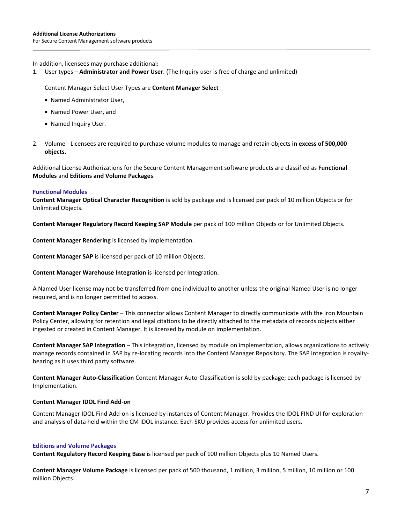In addition, licensees may purchase additional:

1. User types – **Administrator and Power User**. (The Inquiry user is free of charge and unlimited)

Content Manager Select User Types are **Content Manager Select**

- Named Administrator User,
- Named Power User, and
- Named Inquiry User.
- 2. Volume Licensees are required to purchase volume modules to manage and retain objects **in excess of 500,000 objects.**

Additional License Authorizations for the Secure Content Management software products are classified as **Functional Modules** and **Editions and Volume Packages**.

#### **Functional Modules**

**Content Manager Optical Character Recognition** is sold by package and is licensed per pack of 10 million Objects or for Unlimited Objects.

**Content Manager Regulatory Record Keeping SAP Module** per pack of 100 million Objects or for Unlimited Objects.

**Content Manager Rendering** is licensed by Implementation.

**Content Manager SAP** is licensed per pack of 10 million Objects.

**Content Manager Warehouse Integration** is licensed per Integration.

A Named User license may not be transferred from one individual to another unless the original Named User is no longer required, and is no longer permitted to access.

**Content Manager Policy Center** – This connector allows Content Manager to directly communicate with the Iron Mountain Policy Center, allowing for retention and legal citations to be directly attached to the metadata of records objects either ingested or created in Content Manager. It is licensed by module on implementation.

**Content Manager SAP Integration** – This integration, licensed by module on implementation, allows organizations to actively manage records contained in SAP by re-locating records into the Content Manager Repository. The SAP Integration is royaltybearing as it uses third party software.

**Content Manager Auto-Classification** Content Manager Auto-Classification is sold by package; each package is licensed by Implementation.

#### **Content Manager IDOL Find Add-on**

Content Manager IDOL Find Add-on is licensed by instances of Content Manager. Provides the IDOL FIND UI for exploration and analysis of data held within the CM IDOL instance. Each SKU provides access for unlimited users.

#### **Editions and Volume Packages**

**Content Regulatory Record Keeping Base** is licensed per pack of 100 million Objects plus 10 Named Users.

**Content Manager Volume Package** is licensed per pack of 500 thousand, 1 million, 3 million, 5 million, 10 million or 100 million Objects.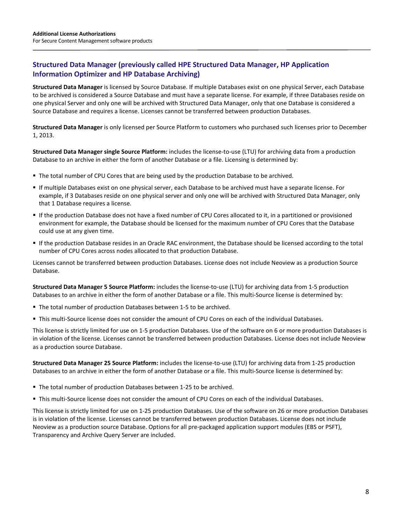## **Structured Data Manager (previously called HPE Structured Data Manager, HP Application Information Optimizer and HP Database Archiving)**

**Structured Data Manager** is licensed by Source Database. If multiple Databases exist on one physical Server, each Database to be archived is considered a Source Database and must have a separate license. For example, if three Databases reside on one physical Server and only one will be archived with Structured Data Manager, only that one Database is considered a Source Database and requires a license. Licenses cannot be transferred between production Databases.

**Structured Data Manager** is only licensed per Source Platform to customers who purchased such licenses prior to December 1, 2013.

**Structured Data Manager single Source Platform:** includes the license-to-use (LTU) for archiving data from a production Database to an archive in either the form of another Database or a file. Licensing is determined by:

- The total number of CPU Cores that are being used by the production Database to be archived.
- If multiple Databases exist on one physical server, each Database to be archived must have a separate license. For example, if 3 Databases reside on one physical server and only one will be archived with Structured Data Manager, only that 1 Database requires a license.
- If the production Database does not have a fixed number of CPU Cores allocated to it, in a partitioned or provisioned environment for example, the Database should be licensed for the maximum number of CPU Cores that the Database could use at any given time.
- If the production Database resides in an Oracle RAC environment, the Database should be licensed according to the total number of CPU Cores across nodes allocated to that production Database.

Licenses cannot be transferred between production Databases. License does not include Neoview as a production Source Database.

**Structured Data Manager 5 Source Platform:** includes the license-to-use (LTU) for archiving data from 1-5 production Databases to an archive in either the form of another Database or a file. This multi-Source license is determined by:

- The total number of production Databases between 1-5 to be archived.
- This multi-Source license does not consider the amount of CPU Cores on each of the individual Databases.

This license is strictly limited for use on 1-5 production Databases. Use of the software on 6 or more production Databases is in violation of the license. Licenses cannot be transferred between production Databases. License does not include Neoview as a production source Database.

**Structured Data Manager 25 Source Platform:** includes the license-to-use (LTU) for archiving data from 1-25 production Databases to an archive in either the form of another Database or a file. This multi-Source license is determined by:

- The total number of production Databases between 1-25 to be archived.
- This multi-Source license does not consider the amount of CPU Cores on each of the individual Databases.

This license is strictly limited for use on 1-25 production Databases. Use of the software on 26 or more production Databases is in violation of the license. Licenses cannot be transferred between production Databases. License does not include Neoview as a production source Database. Options for all pre-packaged application support modules (EBS or PSFT), Transparency and Archive Query Server are included.